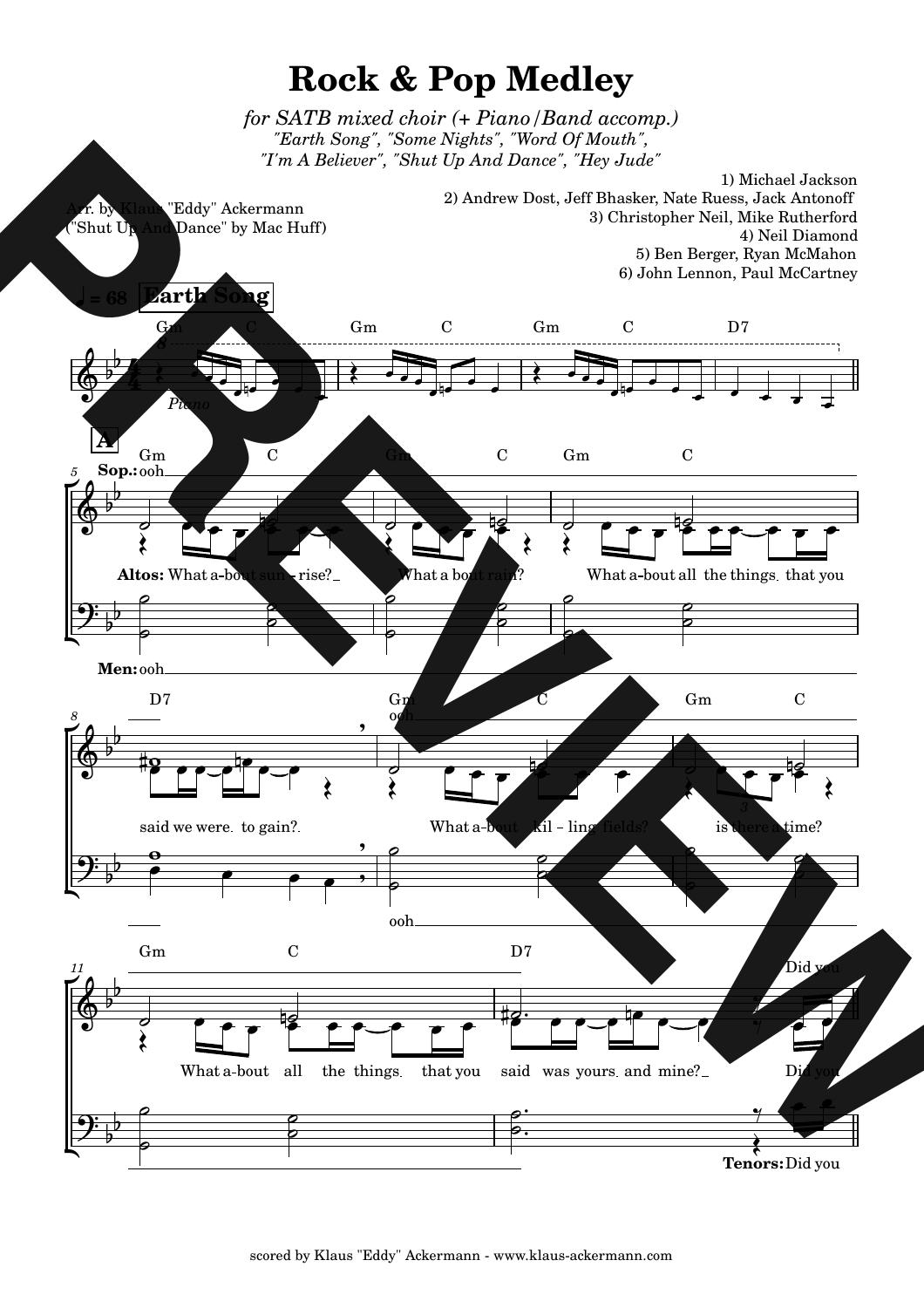## **Rock & Pop Medley**

*for SATB mixed choir (+ Piano/Band accomp.) "Earth Song", "Some Nights", "Word Of Mouth", "I'm A Believer", "Shut Up And Dance", "Hey Jude"*

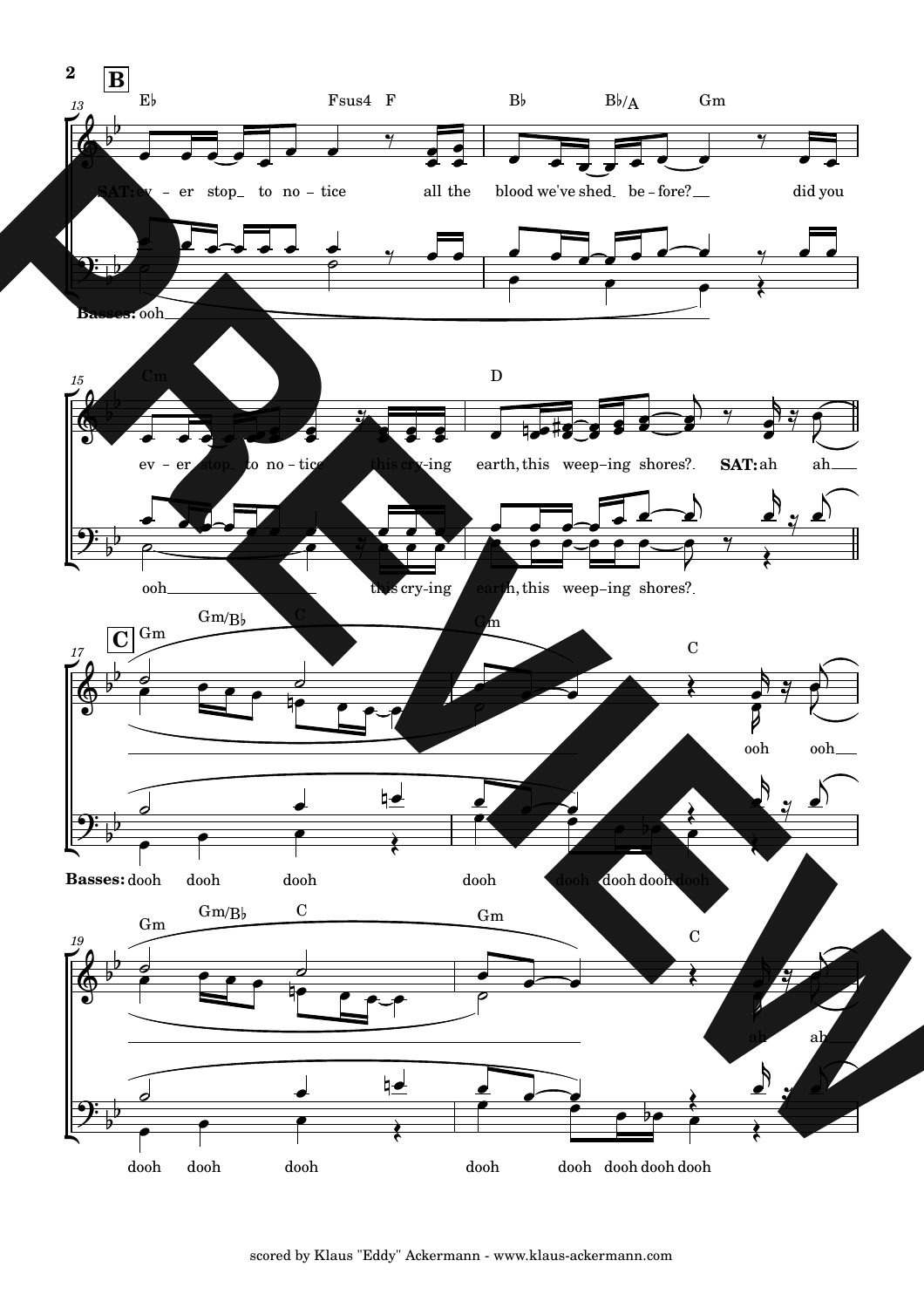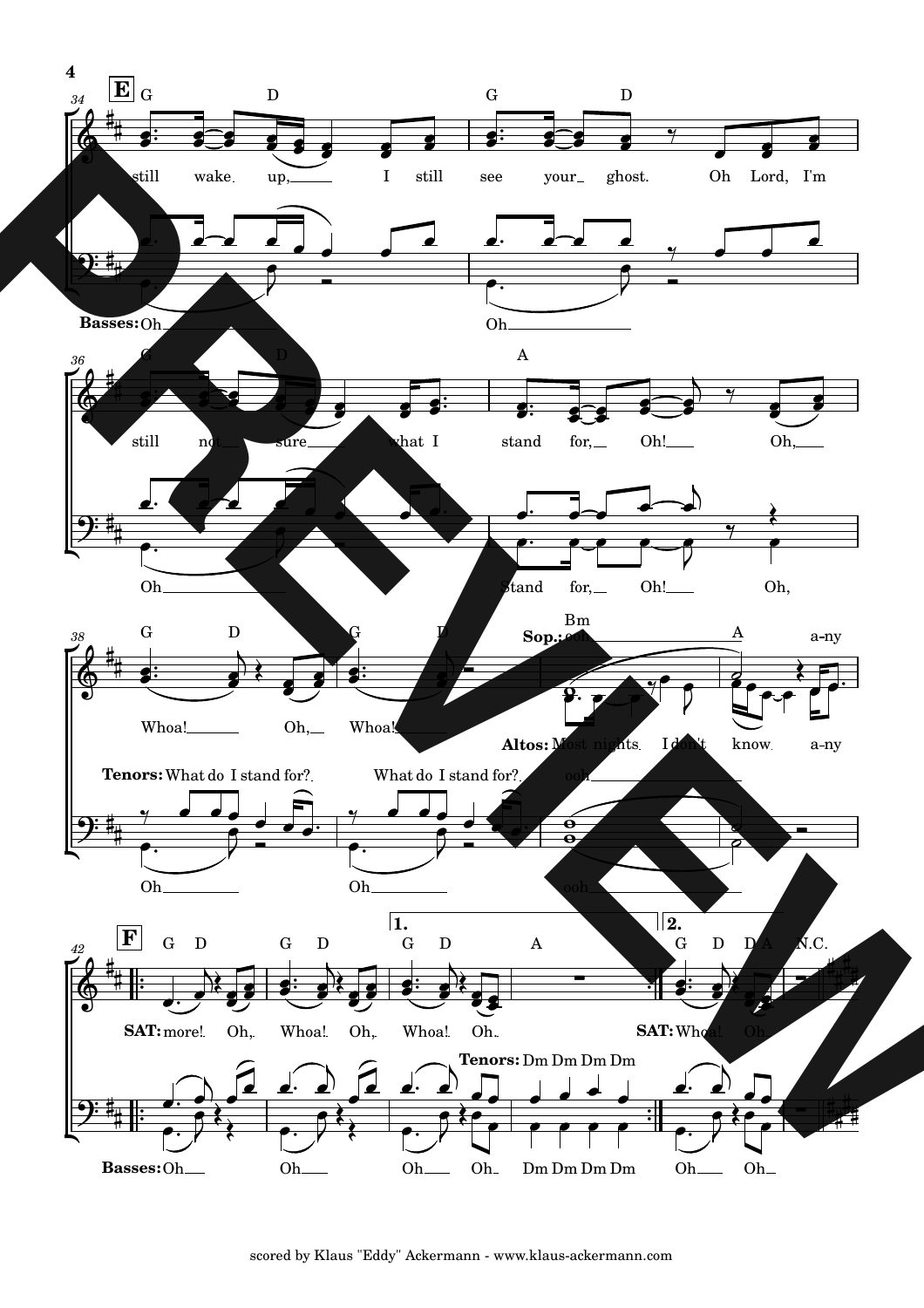

scored by Klaus "Eddy" Ackermann - www.klaus-ackermann.com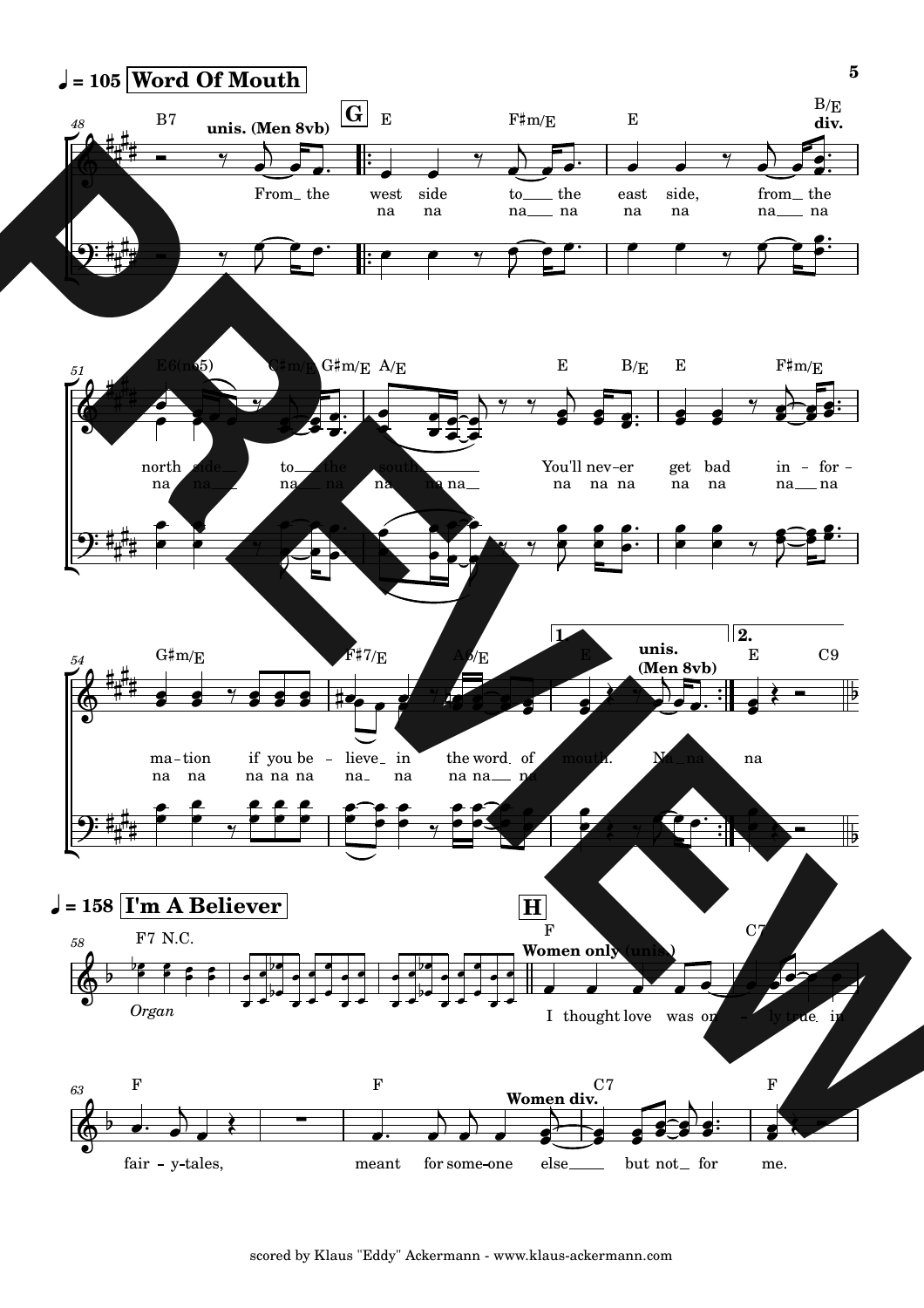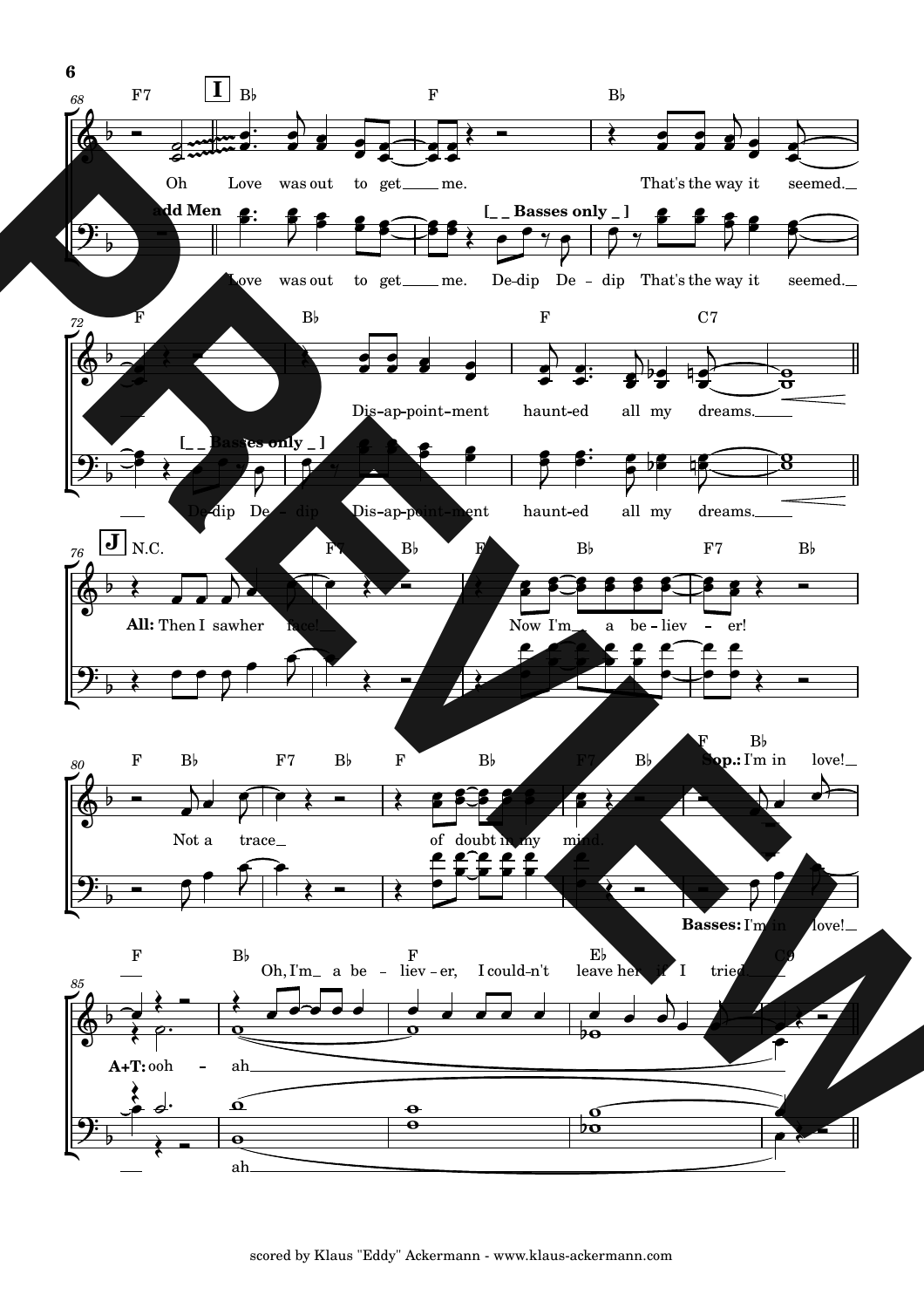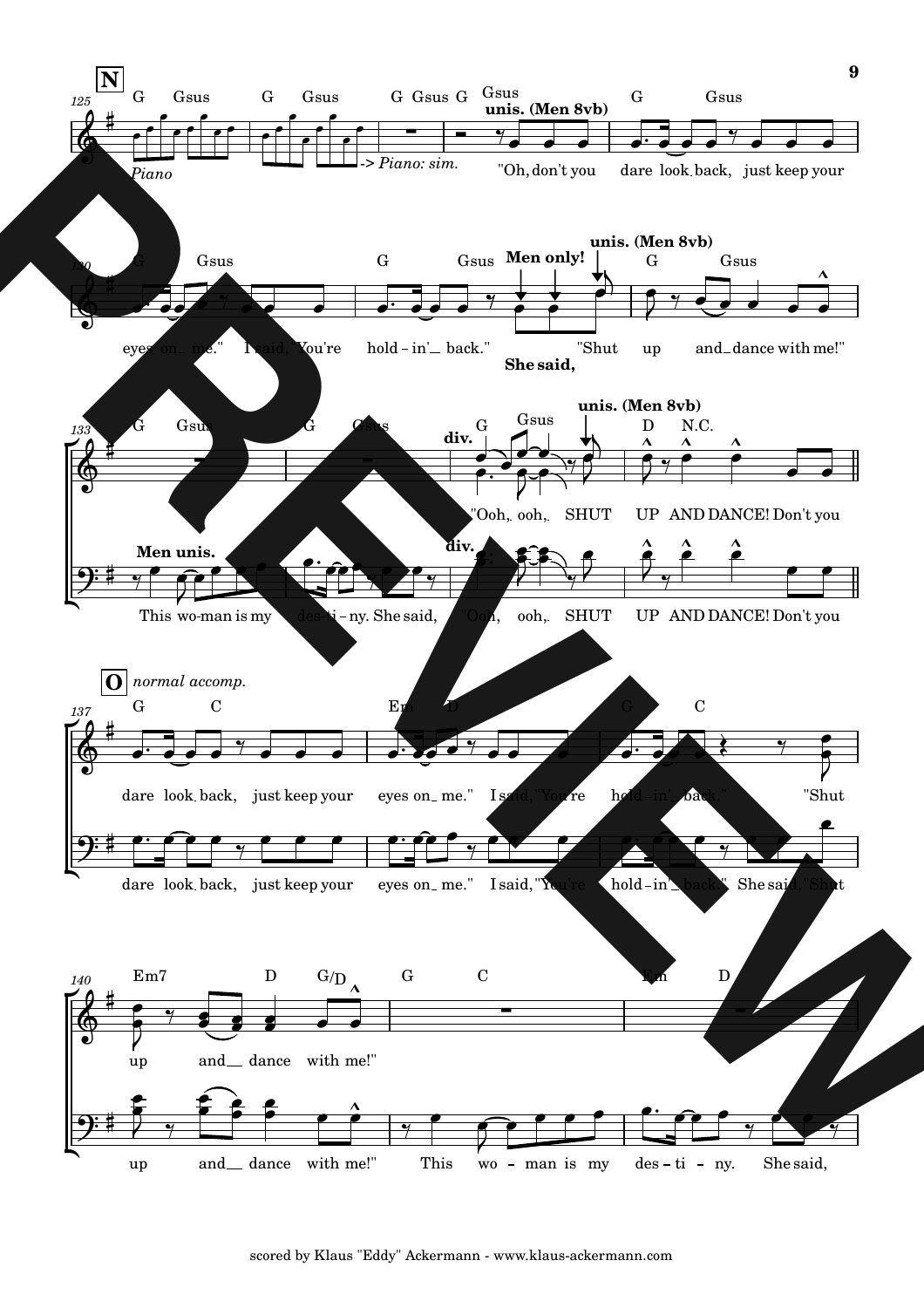